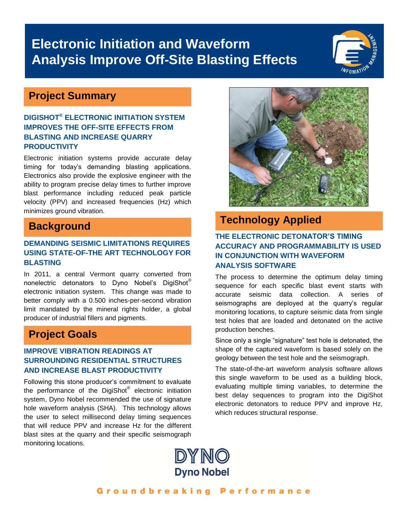# **Electronic Initiation and Waveform Analysis Improve Off-Site Blasting Effects**

## **Project Summary**

#### **DIGISHOT® ELECTRONIC INITIATION SYSTEM IMPROVES THE OFF-SITE EFFECTS FROM BLASTING AND INCREASE QUARRY PRODUCTIVITY**

Electronic initiation systems provide accurate delay timing for today's demanding blasting applications. Electronics also provide the explosive engineer with the ability to program precise delay times to further improve blast performance including reduced peak particle velocity (PPV) and increased frequencies (Hz) which minimizes ground vibration.

### **Background**

#### **DEMANDING SEISMIC LIMITATIONS REQUIRES USING STATE-OF-THE ART TECHNOLOGY FOR BLASTING**

In 2011, a central Vermont quarry converted from nonelectric detonators to Dyno Nobel's DigiShot® electronic initiation system. This change was made to better comply with a 0.500 inches-per-second vibration limit mandated by the mineral rights holder, a global producer of industrial fillers and pigments.

## **Project Goals**

#### **IMPROVE VIBRATION READINGS AT SURROUNDING RESIDENTIAL STRUCTURES AND INCREASE BLAST PRODUCTIVITY**

Following this stone producer's commitment to evaluate the performance of the DigiShot® electronic initiation system, Dyno Nobel recommended the use of signature hole waveform analysis (SHA). This technology allows the user to select millisecond delay timing sequences that will reduce PPV and increase Hz for the different blast sites at the quarry and their specific seismograph monitoring locations.



### **Technology Applied**

#### **THE ELECTRONIC DETONATOR'S TIMING ACCURACY AND PROGRAMMABILITY IS USED IN CONJUNCTION WITH WAVEFORM ANALYSIS SOFTWARE**

The process to determine the optimum delay timing sequence for each specific blast event starts with accurate seismic data collection. A series of seismographs are deployed at the quarry's regular monitoring locations, to capture seismic data from single test holes that are loaded and detonated on the active production benches.

Since only a single "signature" test hole is detonated, the shape of the captured waveform is based solely on the geology between the test hole and the seismograph.

The state-of-the-art waveform analysis software allows this single waveform to be used as a building block, evaluating multiple timing variables, to determine the best delay sequences to program into the DigiShot electronic detonators to reduce PPV and improve Hz, which reduces structural response.